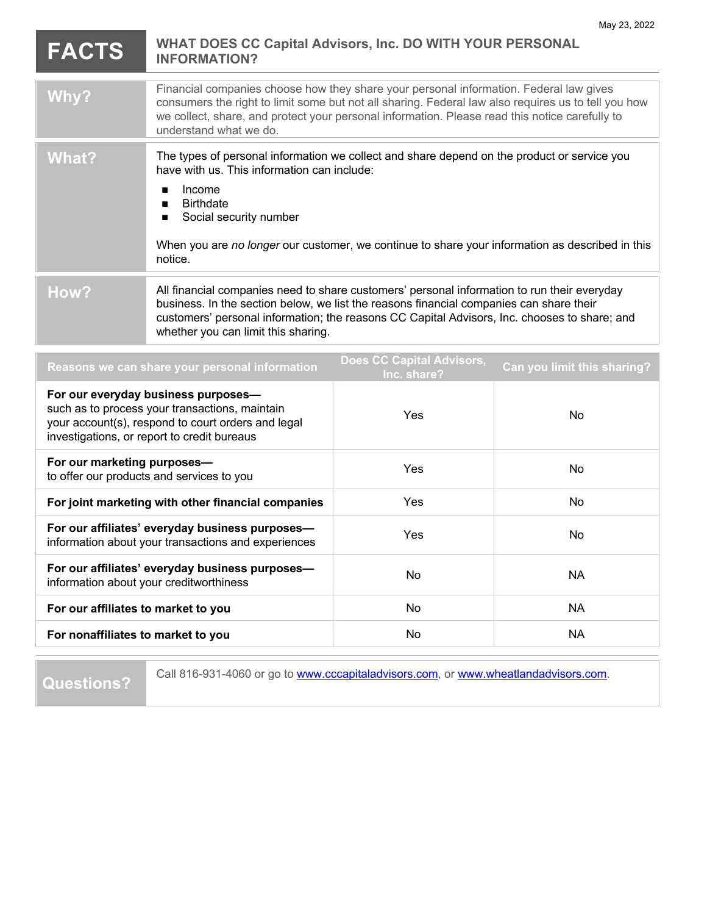| <b>FACTS</b>                                                                                                                                                                               | <b>WHAT DOES CC Capital Advisors, Inc. DO WITH YOUR PERSONAL</b><br><b>INFORMATION?</b>                                                                                                                                                                                                                                         |                                                 |                             |
|--------------------------------------------------------------------------------------------------------------------------------------------------------------------------------------------|---------------------------------------------------------------------------------------------------------------------------------------------------------------------------------------------------------------------------------------------------------------------------------------------------------------------------------|-------------------------------------------------|-----------------------------|
| Why?                                                                                                                                                                                       | Financial companies choose how they share your personal information. Federal law gives<br>consumers the right to limit some but not all sharing. Federal law also requires us to tell you how<br>we collect, share, and protect your personal information. Please read this notice carefully to<br>understand what we do.       |                                                 |                             |
| <b>What?</b>                                                                                                                                                                               | The types of personal information we collect and share depend on the product or service you<br>have with us. This information can include:<br>Income<br>п<br><b>Birthdate</b><br>п<br>Social security number<br>п<br>When you are no longer our customer, we continue to share your information as described in this<br>notice. |                                                 |                             |
| How?                                                                                                                                                                                       | All financial companies need to share customers' personal information to run their everyday<br>business. In the section below, we list the reasons financial companies can share their<br>customers' personal information; the reasons CC Capital Advisors, Inc. chooses to share; and<br>whether you can limit this sharing.   |                                                 |                             |
| Reasons we can share your personal information                                                                                                                                             |                                                                                                                                                                                                                                                                                                                                 | <b>Does CC Capital Advisors,</b><br>Inc. share? | Can you limit this sharing? |
| For our everyday business purposes-<br>such as to process your transactions, maintain<br>your account(s), respond to court orders and legal<br>investigations, or report to credit bureaus |                                                                                                                                                                                                                                                                                                                                 | Yes                                             | <b>No</b>                   |
| For our marketing purposes-                                                                                                                                                                |                                                                                                                                                                                                                                                                                                                                 |                                                 |                             |

| For our marketing purposes-<br>to offer our products and services to you                               | Yes | No        |
|--------------------------------------------------------------------------------------------------------|-----|-----------|
| For joint marketing with other financial companies                                                     | Yes | No.       |
| For our affiliates' everyday business purposes-<br>information about your transactions and experiences | Yes | No        |
| For our affiliates' everyday business purposes-<br>information about your creditworthiness             | No. | NA.       |
| For our affiliates to market to you                                                                    | No. | <b>NA</b> |
| For nonaffiliates to market to you                                                                     | No. | NA.       |

**Questions?** Call 816-931-4060 or go to www.cccapitaladvisors.com, or www.wheatlandadvisors.com.